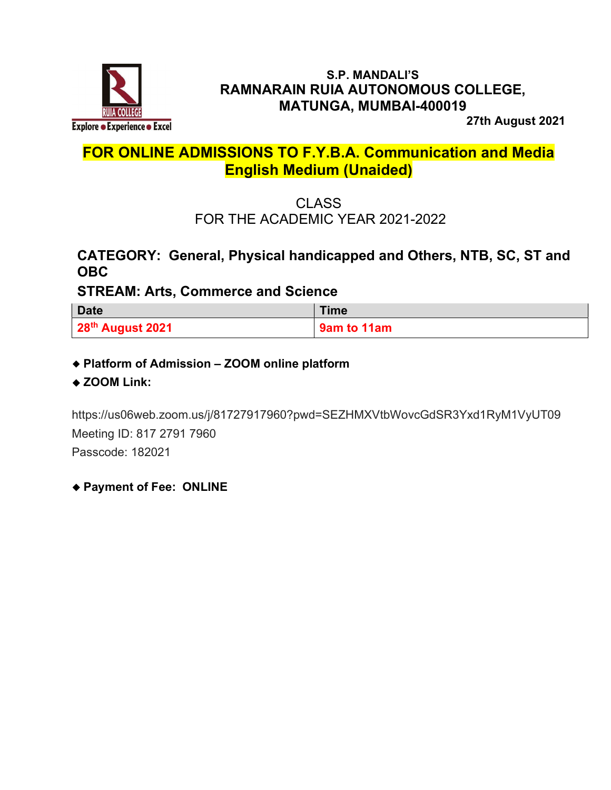

#### S.P. MANDALI'S RAMNARAIN RUIA AUTONOMOUS COLLEGE, MATUNGA, MUMBAI-400019

27th August 2021

# FOR ONLINE ADMISSIONS TO F.Y.B.A. Communication and Media English Medium (Unaided)

CLASS FOR THE ACADEMIC YEAR 2021-2022

### CATEGORY: General, Physical handicapped and Others, NTB, SC, ST and OBC

### STREAM: Arts, Commerce and Science

| <b>Date</b>      | <b>Time</b> |
|------------------|-------------|
| 28th August 2021 | 9am to 11am |

Platform of Admission – ZOOM online platform

◆ ZOOM Link:

https://us06web.zoom.us/j/81727917960?pwd=SEZHMXVtbWovcGdSR3Yxd1RyM1VyUT09 Meeting ID: 817 2791 7960 Passcode: 182021

Payment of Fee: ONLINE